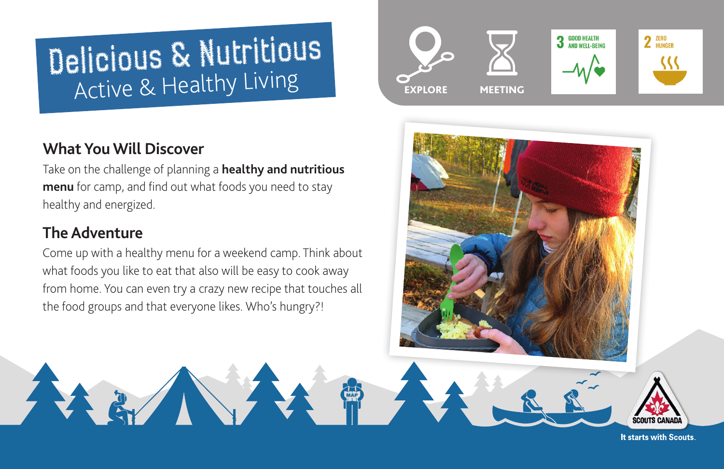# Delicious & Nutritious Active & Healthy Living

# **What You Will Discover**

Take on the challenge of planning a **[healthy and nutritious](https://food-guide.canada.ca/en/)  [menu](https://food-guide.canada.ca/en/)** for camp, and find out what foods you need to stay healthy and energized.

# **The Adventure**

Come up with a healthy menu for a weekend camp. Think about what foods you like to eat that also will be easy to cook away from home. You can even try a crazy new recipe that touches all the food groups and that everyone likes. Who's hungry?!





It starts with Scouts.